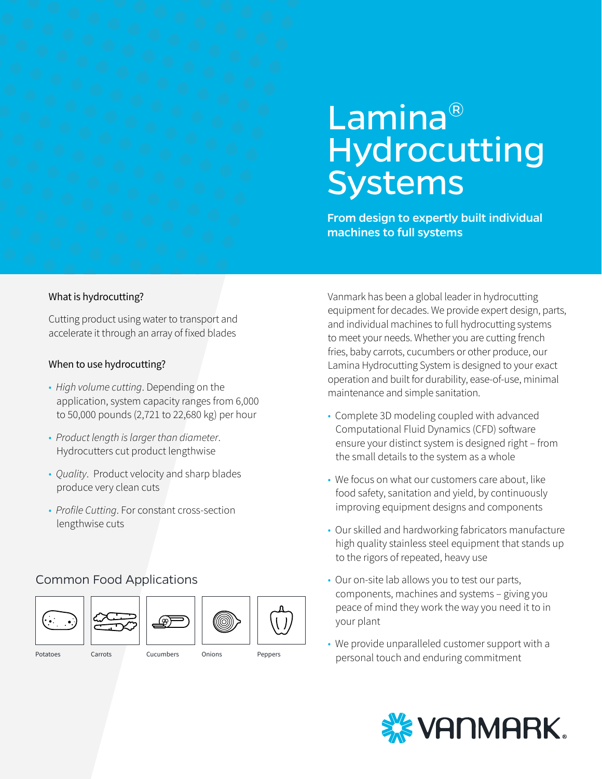# Lamina® Hydrocutting Systems

From design to expertly built individual machines to full systems

#### What is hydrocutting?

Cutting product using water to transport and accelerate it through an array of fixed blades

#### When to use hydrocutting?

- *High volume cutting*. Depending on the application, system capacity ranges from 6,000 to 50,000 pounds (2,721 to 22,680 kg) per hour
- *Product length is larger than diameter*. Hydrocutters cut product lengthwise
- *Quality*. Product velocity and sharp blades produce very clean cuts
- *Profile Cutting*. For constant cross-section lengthwise cuts

### Common Food Applications



Potatoes Carrots Cucumbers Onions Peppers

Vanmark has been a global leader in hydrocutting equipment for decades. We provide expert design, parts, and individual machines to full hydrocutting systems to meet your needs. Whether you are cutting french fries, baby carrots, cucumbers or other produce, our Lamina Hydrocutting System is designed to your exact operation and built for durability, ease-of-use, minimal maintenance and simple sanitation.

- Complete 3D modeling coupled with advanced Computational Fluid Dynamics (CFD) software ensure your distinct system is designed right – from the small details to the system as a whole
- We focus on what our customers care about, like food safety, sanitation and yield, by continuously improving equipment designs and components
- Our skilled and hardworking fabricators manufacture high quality stainless steel equipment that stands up to the rigors of repeated, heavy use
- Our on-site lab allows you to test our parts, components, machines and systems – giving you peace of mind they work the way you need it to in your plant
- We provide unparalleled customer support with a personal touch and enduring commitment